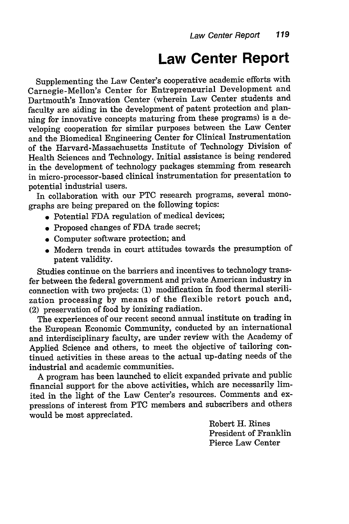## **Law Center Report**

Supplementing the Law Center's cooperative academic efforts with Carnegie-Mellon's Center for Entrepreneurial Development and Dartmouth's Innovation Center (wherein Law Center students and faculty are aiding in the development of patent protection and planning for innovative concepts maturing from these programs) is a developing cooperation for similar purposes between the Law Center and the Biomedical Engineering Center for Clinical Instrumentation of the Harvard-Massachusetts Institute of Technology Division of Health Sciences and Technology. Initial assistance is being rendered in the development of technology packages stemming from research in micro-processor-based clinical instrumentation for presentation to potential industrial users.

In collaboration with our PTC research programs, several monographs are being prepared on the following topics:

- Potential FDA regulation of medical devices;
- Proposed changes of FDA trade secret;
- \* Computer software protection; and
- \* Modern trends in court attitudes towards the presumption of patent validity.

Studies continue on the barriers and incentives to technology transfer between the federal government and private American industry in connection with two projects: (1) modification in food thermal sterilization processing by means of the flexible retort pouch and, (2) preservation of food by ionizing radiation.

The experiences of our recent second annual institute on trading in the European Economic Community, conducted by an international and interdisciplinary faculty, are under review with the Academy of Applied Science and others, to meet the objective of tailoring continued activities in these areas to the actual up-dating needs of the industrial and academic communities.

A program has been launched to elicit expanded private and public financial support for the above activities, which are necessarily limited in the light of the Law Center's resources. Comments and expressions of interest from PTC members and subscribers and others would be most appreciated.

> Robert H. Rines President of Franklin Pierce Law Center